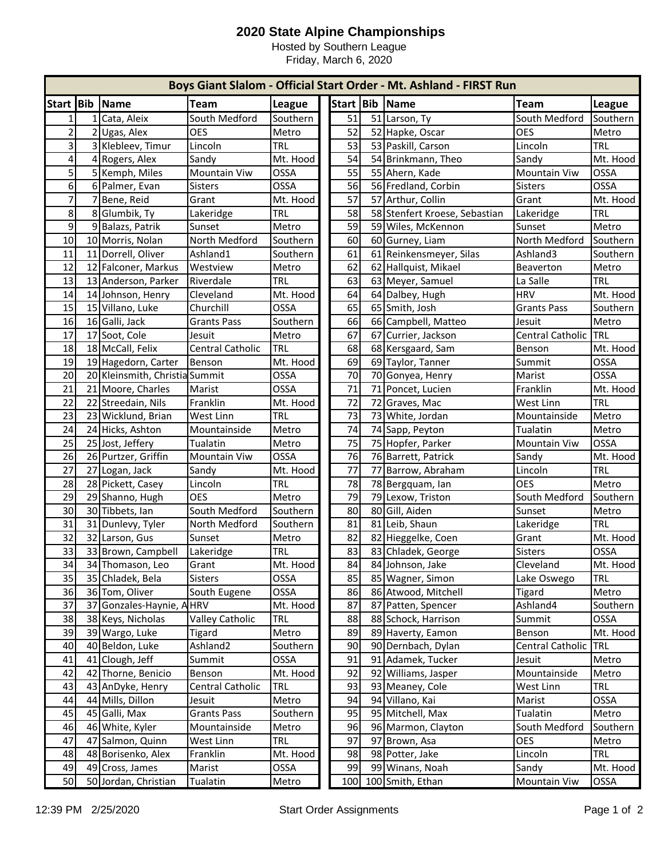## **2020 State Alpine Championships**

Hosted by Southern League Friday, March 6, 2020

|                |      |                                |                        |             |           |    | Boys Giant Slalom - Official Start Order - Mt. Ashland - FIRST Run |                     |               |
|----------------|------|--------------------------------|------------------------|-------------|-----------|----|--------------------------------------------------------------------|---------------------|---------------|
| Start Bib      |      | Name                           | <b>Team</b>            | League      | Start Bib |    | Name                                                               | <b>Team</b>         | <b>League</b> |
| 1              |      | 1 Cata, Aleix                  | South Medford          | Southern    | 51        |    | 51 Larson, Ty                                                      | South Medford       | Southern      |
| $\overline{2}$ |      | 2 Ugas, Alex                   | <b>OES</b>             | Metro       | 52        |    | 52 Hapke, Oscar                                                    | <b>OES</b>          | Metro         |
| $\overline{3}$ |      | 3 Klebleev, Timur              | Lincoln                | <b>TRL</b>  | 53        |    | 53 Paskill, Carson                                                 | Lincoln             | <b>TRL</b>    |
| 4              |      | 4 Rogers, Alex                 | Sandy                  | Mt. Hood    | 54        |    | 54 Brinkmann, Theo                                                 | Sandy               | Mt. Hood      |
| 5              |      | 5 Kemph, Miles                 | Mountain Viw           | <b>OSSA</b> | 55        |    | 55 Ahern, Kade                                                     | <b>Mountain Viw</b> | OSSA          |
| 6              |      | 6 Palmer, Evan                 | Sisters                | OSSA        | 56        |    | 56 Fredland, Corbin                                                | <b>Sisters</b>      | OSSA          |
| $\overline{7}$ |      | 7 Bene, Reid                   | Grant                  | Mt. Hood    | 57        |    | 57 Arthur, Collin                                                  | Grant               | Mt. Hood      |
| 8              |      | 8 Glumbik, Ty                  | Lakeridge              | TRL         | 58        |    | 58 Stenfert Kroese, Sebastian                                      | Lakeridge           | <b>TRL</b>    |
| 9              |      | 9 Balazs, Patrik               | Sunset                 | Metro       | 59        |    | 59 Wiles, McKennon                                                 | Sunset              | Metro         |
| 10             |      | 10 Morris, Nolan               | North Medford          | Southern    | 60        |    | 60 Gurney, Liam                                                    | North Medford       | Southern      |
| 11             |      | 11 Dorrell, Oliver             | Ashland1               | Southern    | 61        |    | 61 Reinkensmeyer, Silas                                            | Ashland3            | Southern      |
| 12             |      | 12 Falconer, Markus            | Westview               | Metro       | 62        | 62 | Hallquist, Mikael                                                  | Beaverton           | Metro         |
| 13             |      | 13 Anderson, Parker            | Riverdale              | <b>TRL</b>  | 63        |    | 63 Meyer, Samuel                                                   | La Salle            | <b>TRL</b>    |
| 14             |      | 14 Johnson, Henry              | Cleveland              | Mt. Hood    | 64        | 64 | Dalbey, Hugh                                                       | <b>HRV</b>          | Mt. Hood      |
| 15             |      | 15 Villano, Luke               | Churchill              | OSSA        | 65        |    | 65 Smith, Josh                                                     | <b>Grants Pass</b>  | Southern      |
| 16             |      | 16 Galli, Jack                 | <b>Grants Pass</b>     | Southern    | 66        | 66 | Campbell, Matteo                                                   | Jesuit              | Metro         |
| 17             |      | 17 Soot, Cole                  | Jesuit                 | Metro       | 67        | 67 | Currier, Jackson                                                   | Central Catholic    | ITRL          |
| 18             |      | 18 McCall, Felix               | Central Catholic       | <b>TRL</b>  | 68        | 68 | Kersgaard, Sam                                                     | Benson              | Mt. Hood      |
| 19             |      | 19 Hagedorn, Carter            | Benson                 | Mt. Hood    | 69        | 69 | Taylor, Tanner                                                     | Summit              | OSSA          |
| 20             |      | 20 Kleinsmith, Christia Summit |                        | OSSA        | 70        | 70 | Gonyea, Henry                                                      | Marist              | <b>OSSA</b>   |
| 21             |      | 21 Moore, Charles              | Marist                 | <b>OSSA</b> | 71        |    | 71 Poncet, Lucien                                                  | Franklin            | Mt. Hood      |
| 22             |      | 22 Streedain, Nils             | Franklin               | Mt. Hood    | 72        |    | 72 Graves, Mac                                                     | West Linn           | <b>TRL</b>    |
| 23             |      | 23 Wicklund, Brian             | West Linn              | <b>TRL</b>  | 73        |    | 73 White, Jordan                                                   | Mountainside        | Metro         |
| 24             |      | 24 Hicks, Ashton               | Mountainside           | Metro       | 74        |    | 74 Sapp, Peyton                                                    | Tualatin            | Metro         |
| 25             |      | 25 Jost, Jeffery               | Tualatin               | Metro       | 75        |    | 75 Hopfer, Parker                                                  | <b>Mountain Viw</b> | OSSA          |
| 26             |      | 26 Purtzer, Griffin            | Mountain Viw           | <b>OSSA</b> | 76        |    | 76 Barrett, Patrick                                                | Sandy               | Mt. Hood      |
| 27             |      | 27 Logan, Jack                 | Sandy                  | Mt. Hood    | 77        | 77 | Barrow, Abraham                                                    | Lincoln             | <b>TRL</b>    |
| 28             |      | 28 Pickett, Casey              | Lincoln                | <b>TRL</b>  | 78        |    | 78 Bergquam, Ian                                                   | <b>OES</b>          | Metro         |
| 29             |      | 29 Shanno, Hugh                | <b>OES</b>             | Metro       | 79        | 79 | Lexow, Triston                                                     | South Medford       | Southern      |
| 30             |      | 30 Tibbets, Ian                | South Medford          | Southern    | 80        | 80 | Gill, Aiden                                                        | Sunset              | Metro         |
| 31             |      | 31 Dunlevy, Tyler              | North Medford          | Southern    | 81        |    | 81 Leib, Shaun                                                     | Lakeridge           | <b>TRL</b>    |
| 32             |      | 32 Larson, Gus                 | Sunset                 | Metro       | 82        | 82 | Hieggelke, Coen                                                    | Grant               | Mt. Hood      |
| 33             |      | 33 Brown, Campbell             | Lakeridge              | <b>TRL</b>  | 83        |    | 83 Chladek, George                                                 | <b>Sisters</b>      | OSSA          |
| 34             |      | 34 Thomason, Leo               | Grant                  | Mt. Hood    | 84        |    | 84 Johnson, Jake                                                   | Cleveland           | Mt. Hood      |
| 35             |      | 35 Chladek, Bela               | <b>Sisters</b>         | OSSA        | 85        |    | 85 Wagner, Simon                                                   | Lake Oswego         | <b>TRL</b>    |
| 36             |      | 36 Tom, Oliver                 | South Eugene           | OSSA        | 86        |    | 86 Atwood, Mitchell                                                | <b>Tigard</b>       | Metro         |
| 37             | 37 I | Gonzales-Haynie, A HRV         |                        | Mt. Hood    | 87        | 87 | Patten, Spencer                                                    | Ashland4            | Southern      |
| 38             |      | 38 Keys, Nicholas              | <b>Valley Catholic</b> | <b>TRL</b>  | 88        |    | 88 Schock, Harrison                                                | Summit              | OSSA          |
| 39             |      | 39 Wargo, Luke                 | <b>Tigard</b>          | Metro       | 89        | 89 | Haverty, Eamon                                                     | Benson              | Mt. Hood      |
| 40             | 40   | Beldon, Luke                   | Ashland <sub>2</sub>   | Southern    | 90        | 90 | Dernbach, Dylan                                                    | Central Catholic    | <b>TRL</b>    |
| 41             | 41   | Clough, Jeff                   | Summit                 | OSSA        | 91        | 91 | Adamek, Tucker                                                     | Jesuit              | Metro         |
| 42             | 42   | Thorne, Benicio                | Benson                 | Mt. Hood    | 92        | 92 | Williams, Jasper                                                   | Mountainside        | Metro         |
| 43             |      | 43 AnDyke, Henry               | Central Catholic       | <b>TRL</b>  | 93        | 93 | Meaney, Cole                                                       | West Linn           | <b>TRL</b>    |
| 44             | 44   | Mills, Dillon                  | Jesuit                 | Metro       | 94        | 94 | Villano, Kai                                                       | Marist              | OSSA          |
| 45             |      | 45 Galli, Max                  | <b>Grants Pass</b>     | Southern    | 95        |    | 95 Mitchell, Max                                                   | Tualatin            | Metro         |
| 46             |      | 46 White, Kyler                | Mountainside           | Metro       | 96        |    | 96 Marmon, Clayton                                                 | South Medford       | Southern      |
| 47             |      | 47 Salmon, Quinn               | West Linn              | <b>TRL</b>  | 97        | 97 | Brown, Asa                                                         | <b>OES</b>          | Metro         |
| 48             |      | 48 Borisenko, Alex             | Franklin               | Mt. Hood    | 98        | 98 | Potter, Jake                                                       | Lincoln             | <b>TRL</b>    |
| 49             |      | 49 Cross, James                | Marist                 | OSSA        | 99        | 99 | Winans, Noah                                                       | Sandy               | Mt. Hood      |
| 50             |      | 50 Jordan, Christian           | Tualatin               | Metro       | 100       |    | 100 Smith, Ethan                                                   | Mountain Viw        | OSSA          |